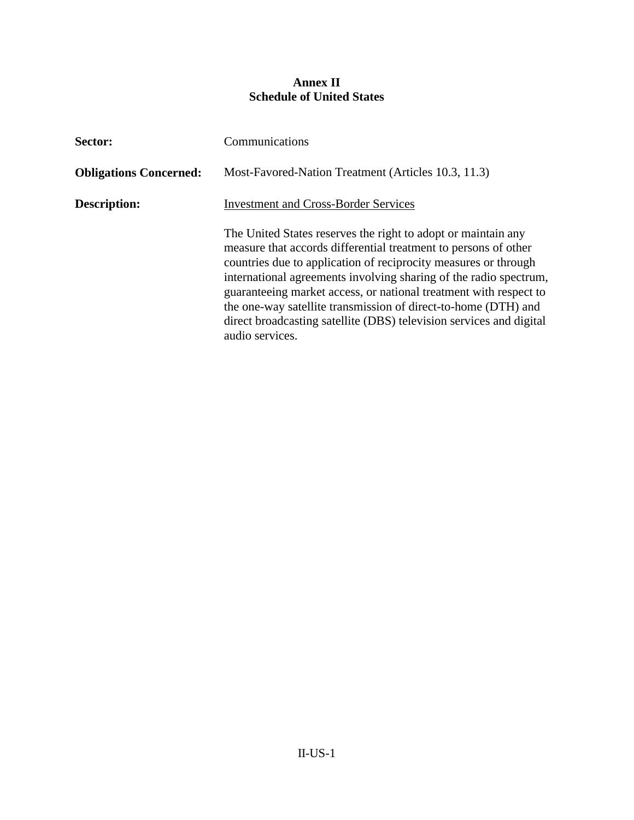## **Annex II Schedule of United States**

| Sector:                       | Communications                                                                                                                                                                                                                                                                                                                                                                                                                                                                                            |  |  |
|-------------------------------|-----------------------------------------------------------------------------------------------------------------------------------------------------------------------------------------------------------------------------------------------------------------------------------------------------------------------------------------------------------------------------------------------------------------------------------------------------------------------------------------------------------|--|--|
| <b>Obligations Concerned:</b> | Most-Favored-Nation Treatment (Articles 10.3, 11.3)                                                                                                                                                                                                                                                                                                                                                                                                                                                       |  |  |
| Description:                  | <b>Investment and Cross-Border Services</b>                                                                                                                                                                                                                                                                                                                                                                                                                                                               |  |  |
|                               | The United States reserves the right to adopt or maintain any<br>measure that accords differential treatment to persons of other<br>countries due to application of reciprocity measures or through<br>international agreements involving sharing of the radio spectrum,<br>guaranteeing market access, or national treatment with respect to<br>the one-way satellite transmission of direct-to-home (DTH) and<br>direct broadcasting satellite (DBS) television services and digital<br>audio services. |  |  |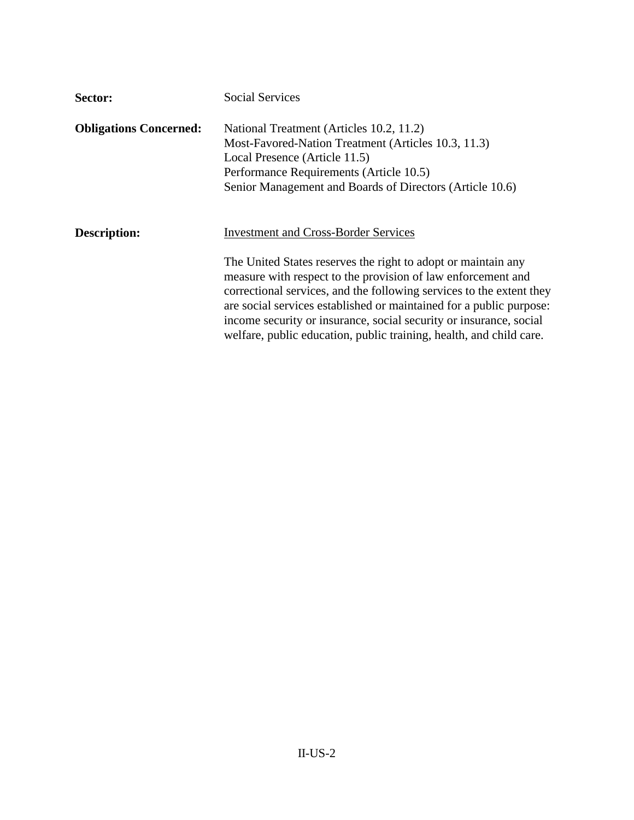| Sector:                       | <b>Social Services</b>                                                                                                                                                                                                                                                                                                                                                                                                                                                   |
|-------------------------------|--------------------------------------------------------------------------------------------------------------------------------------------------------------------------------------------------------------------------------------------------------------------------------------------------------------------------------------------------------------------------------------------------------------------------------------------------------------------------|
| <b>Obligations Concerned:</b> | National Treatment (Articles 10.2, 11.2)<br>Most-Favored-Nation Treatment (Articles 10.3, 11.3)<br>Local Presence (Article 11.5)<br>Performance Requirements (Article 10.5)<br>Senior Management and Boards of Directors (Article 10.6)                                                                                                                                                                                                                                  |
| <b>Description:</b>           | <b>Investment and Cross-Border Services</b><br>The United States reserves the right to adopt or maintain any<br>measure with respect to the provision of law enforcement and<br>correctional services, and the following services to the extent they<br>are social services established or maintained for a public purpose:<br>income security or insurance, social security or insurance, social<br>welfare, public education, public training, health, and child care. |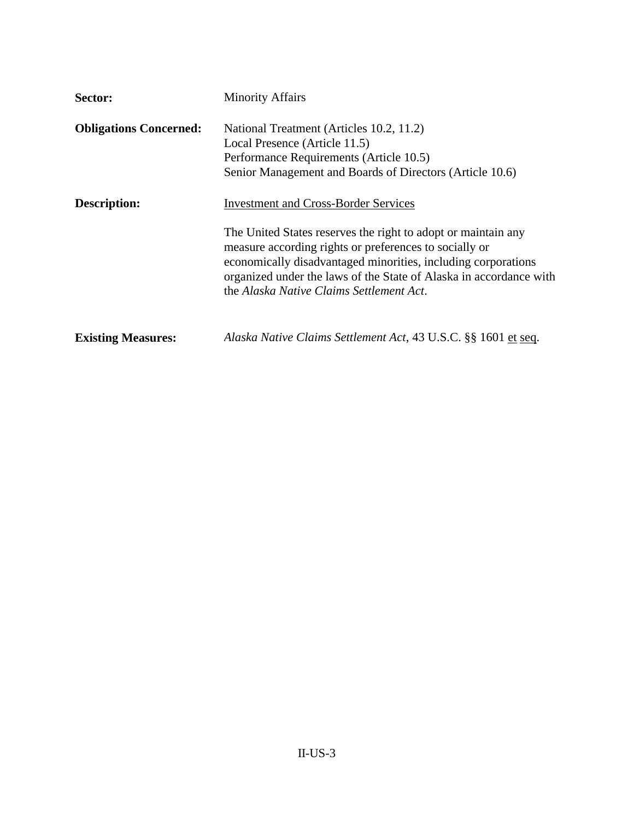| Sector:                       | <b>Minority Affairs</b>                                                                                                                                                                                                                                                                                                                                   |  |  |
|-------------------------------|-----------------------------------------------------------------------------------------------------------------------------------------------------------------------------------------------------------------------------------------------------------------------------------------------------------------------------------------------------------|--|--|
| <b>Obligations Concerned:</b> | National Treatment (Articles 10.2, 11.2)<br>Local Presence (Article 11.5)<br>Performance Requirements (Article 10.5)<br>Senior Management and Boards of Directors (Article 10.6)                                                                                                                                                                          |  |  |
| Description:                  | <b>Investment and Cross-Border Services</b><br>The United States reserves the right to adopt or maintain any<br>measure according rights or preferences to socially or<br>economically disadvantaged minorities, including corporations<br>organized under the laws of the State of Alaska in accordance with<br>the Alaska Native Claims Settlement Act. |  |  |
| <b>Existing Measures:</b>     | Alaska Native Claims Settlement Act, 43 U.S.C. §§ 1601 et seq.                                                                                                                                                                                                                                                                                            |  |  |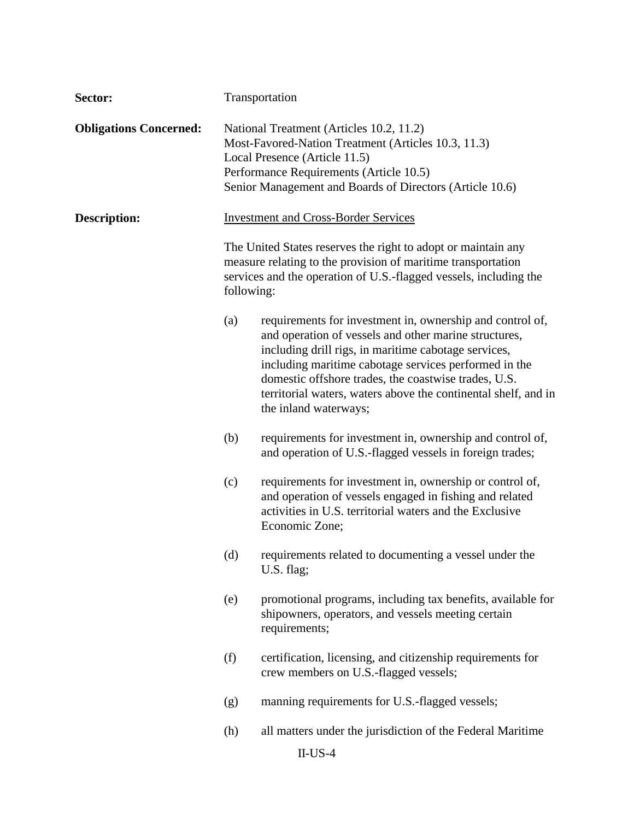| Sector:                       | Transportation                                                                                                                                                                                                                          |                                                                                                                                                                                                                                                                                                                                                                                        |  |  |
|-------------------------------|-----------------------------------------------------------------------------------------------------------------------------------------------------------------------------------------------------------------------------------------|----------------------------------------------------------------------------------------------------------------------------------------------------------------------------------------------------------------------------------------------------------------------------------------------------------------------------------------------------------------------------------------|--|--|
| <b>Obligations Concerned:</b> | National Treatment (Articles 10.2, 11.2)<br>Most-Favored-Nation Treatment (Articles 10.3, 11.3)<br>Local Presence (Article 11.5)<br>Performance Requirements (Article 10.5)<br>Senior Management and Boards of Directors (Article 10.6) |                                                                                                                                                                                                                                                                                                                                                                                        |  |  |
| <b>Description:</b>           | <b>Investment and Cross-Border Services</b>                                                                                                                                                                                             |                                                                                                                                                                                                                                                                                                                                                                                        |  |  |
|                               | The United States reserves the right to adopt or maintain any<br>measure relating to the provision of maritime transportation<br>services and the operation of U.S.-flagged vessels, including the<br>following:                        |                                                                                                                                                                                                                                                                                                                                                                                        |  |  |
|                               | (a)                                                                                                                                                                                                                                     | requirements for investment in, ownership and control of,<br>and operation of vessels and other marine structures,<br>including drill rigs, in maritime cabotage services,<br>including maritime cabotage services performed in the<br>domestic offshore trades, the coastwise trades, U.S.<br>territorial waters, waters above the continental shelf, and in<br>the inland waterways; |  |  |
|                               | (b)                                                                                                                                                                                                                                     | requirements for investment in, ownership and control of,<br>and operation of U.S.-flagged vessels in foreign trades;                                                                                                                                                                                                                                                                  |  |  |
|                               | (c)                                                                                                                                                                                                                                     | requirements for investment in, ownership or control of,<br>and operation of vessels engaged in fishing and related<br>activities in U.S. territorial waters and the Exclusive<br>Economic Zone;                                                                                                                                                                                       |  |  |
|                               | (d)                                                                                                                                                                                                                                     | requirements related to documenting a vessel under the<br>U.S. flag;                                                                                                                                                                                                                                                                                                                   |  |  |
|                               | (e)                                                                                                                                                                                                                                     | promotional programs, including tax benefits, available for<br>shipowners, operators, and vessels meeting certain<br>requirements;                                                                                                                                                                                                                                                     |  |  |
|                               | (f)                                                                                                                                                                                                                                     | certification, licensing, and citizenship requirements for<br>crew members on U.S.-flagged vessels;                                                                                                                                                                                                                                                                                    |  |  |
|                               | (g)                                                                                                                                                                                                                                     | manning requirements for U.S.-flagged vessels;                                                                                                                                                                                                                                                                                                                                         |  |  |
|                               | (h)                                                                                                                                                                                                                                     | all matters under the jurisdiction of the Federal Maritime                                                                                                                                                                                                                                                                                                                             |  |  |
|                               |                                                                                                                                                                                                                                         | $II$ -US-4                                                                                                                                                                                                                                                                                                                                                                             |  |  |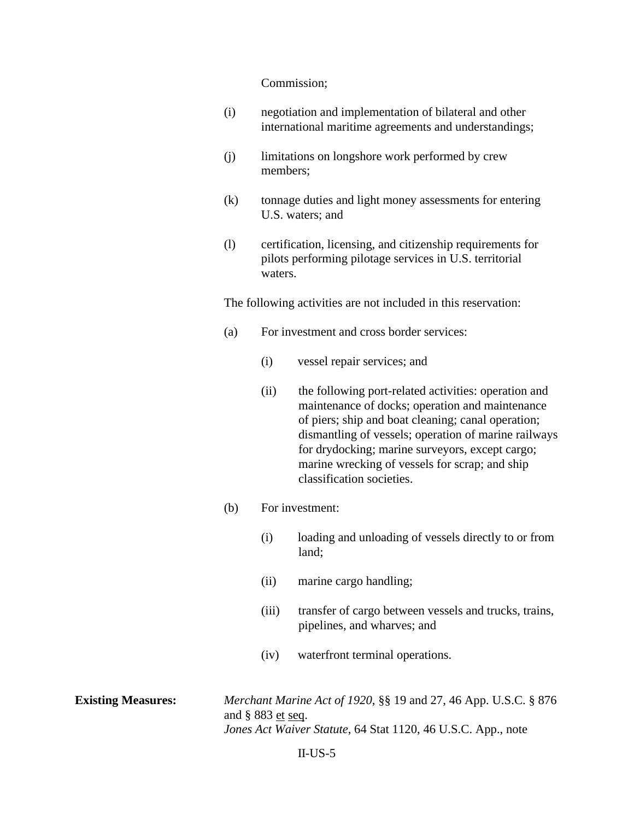## Commission;

- (i) negotiation and implementation of bilateral and other international maritime agreements and understandings;
- (j) limitations on longshore work performed by crew members;
- (k) tonnage duties and light money assessments for entering U.S. waters; and
- (l) certification, licensing, and citizenship requirements for pilots performing pilotage services in U.S. territorial waters.

The following activities are not included in this reservation:

- (a) For investment and cross border services:
	- (i) vessel repair services; and
	- (ii) the following port-related activities: operation and maintenance of docks; operation and maintenance of piers; ship and boat cleaning; canal operation; dismantling of vessels; operation of marine railways for drydocking; marine surveyors, except cargo; marine wrecking of vessels for scrap; and ship classification societies.
- (b) For investment:
	- (i) loading and unloading of vessels directly to or from land;
	- (ii) marine cargo handling;
	- (iii) transfer of cargo between vessels and trucks, trains, pipelines, and wharves; and
	- (iv) waterfront terminal operations.

**Existing Measures:** *Merchant Marine Act of 1920*, §§ 19 and 27, 46 App. U.S.C. § 876 and § 883 et seq. *Jones Act Waiver Statute*, 64 Stat 1120, 46 U.S.C. App., note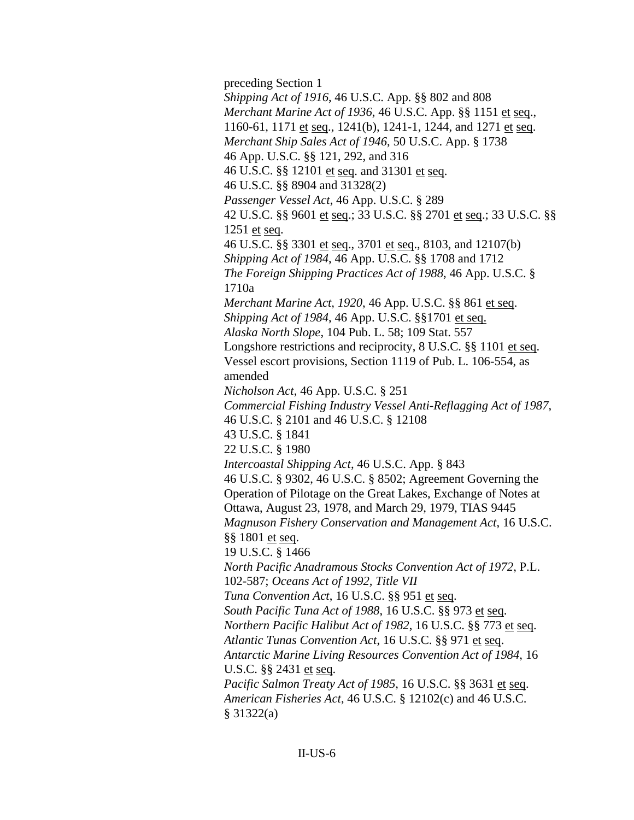preceding Section 1 *Shipping Act of 1916*, 46 U.S.C. App. §§ 802 and 808 *Merchant Marine Act of 1936*, 46 U.S.C. App. §§ 1151 et seq., 1160-61, 1171 et seq., 1241(b), 1241-1, 1244, and 1271 et seq. *Merchant Ship Sales Act of 1946*, 50 U.S.C. App. § 1738 46 App. U.S.C. §§ 121, 292, and 316 46 U.S.C. §§ 12101 et seq. and 31301 et seq. 46 U.S.C. §§ 8904 and 31328(2) *Passenger Vessel Act*, 46 App. U.S.C. § 289 42 U.S.C. §§ 9601 et seq.; 33 U.S.C. §§ 2701 et seq.; 33 U.S.C. §§ 1251 et seq. 46 U.S.C. §§ 3301 et seq., 3701 et seq., 8103, and 12107(b) *Shipping Act of 1984*, 46 App. U.S.C. §§ 1708 and 1712 *The Foreign Shipping Practices Act of 1988*, 46 App. U.S.C. § 1710a *Merchant Marine Act, 1920*, 46 App. U.S.C. §§ 861 et seq. *Shipping Act of 1984*, 46 App. U.S.C. §§1701 et seq. *Alaska North Slope*, 104 Pub. L. 58; 109 Stat. 557 Longshore restrictions and reciprocity, 8 U.S.C. §§ 1101 et seq. Vessel escort provisions, Section 1119 of Pub. L. 106-554, as amended *Nicholson Act*, 46 App. U.S.C. § 251 *Commercial Fishing Industry Vessel Anti-Reflagging Act of 1987*, 46 U.S.C. § 2101 and 46 U.S.C. § 12108 43 U.S.C. § 1841 22 U.S.C. § 1980 *Intercoastal Shipping Act*, 46 U.S.C. App. § 843 46 U.S.C. § 9302, 46 U.S.C. § 8502; Agreement Governing the Operation of Pilotage on the Great Lakes, Exchange of Notes at Ottawa, August 23, 1978, and March 29, 1979, TIAS 9445 *Magnuson Fishery Conservation and Management Act*, 16 U.S.C. §§ 1801 et seq. 19 U.S.C. § 1466 *North Pacific Anadramous Stocks Convention Act of 1972*, P.L. 102-587; *Oceans Act of 1992, Title VII Tuna Convention Act*, 16 U.S.C. §§ 951 et seq. *South Pacific Tuna Act of 1988*, 16 U.S.C. §§ 973 et seq. *Northern Pacific Halibut Act of 1982*, 16 U.S.C. §§ 773 et seq. *Atlantic Tunas Convention Act*, 16 U.S.C. §§ 971 et seq. *Antarctic Marine Living Resources Convention Act of 1984*, 16 U.S.C. §§ 2431 et seq. *Pacific Salmon Treaty Act of 1985*, 16 U.S.C. §§ 3631 et seq. *American Fisheries Act*, 46 U.S.C. § 12102(c) and 46 U.S.C. § 31322(a)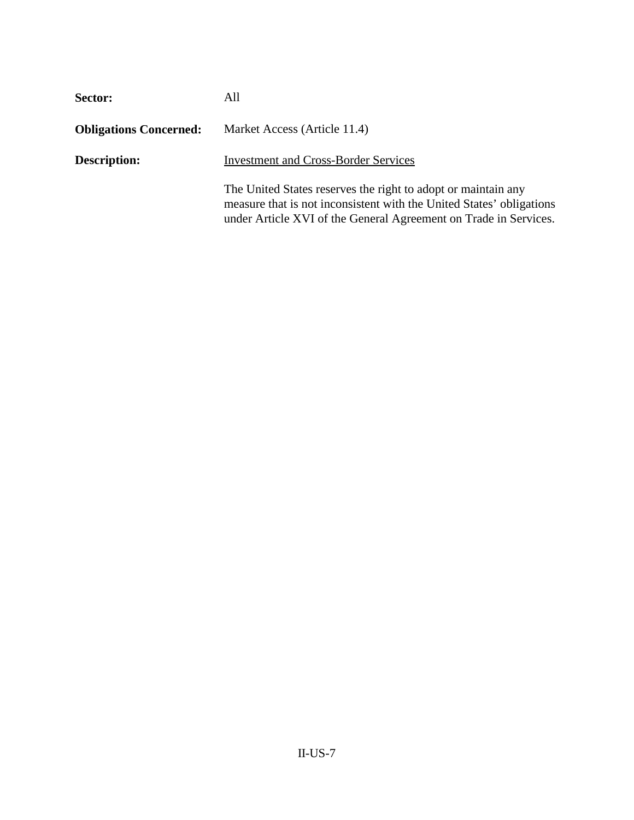| Sector:                       | All                                                                                                                                                                                                       |
|-------------------------------|-----------------------------------------------------------------------------------------------------------------------------------------------------------------------------------------------------------|
| <b>Obligations Concerned:</b> | Market Access (Article 11.4)                                                                                                                                                                              |
| <b>Description:</b>           | <b>Investment and Cross-Border Services</b>                                                                                                                                                               |
|                               | The United States reserves the right to adopt or maintain any<br>measure that is not inconsistent with the United States' obligations<br>under Article XVI of the General Agreement on Trade in Services. |